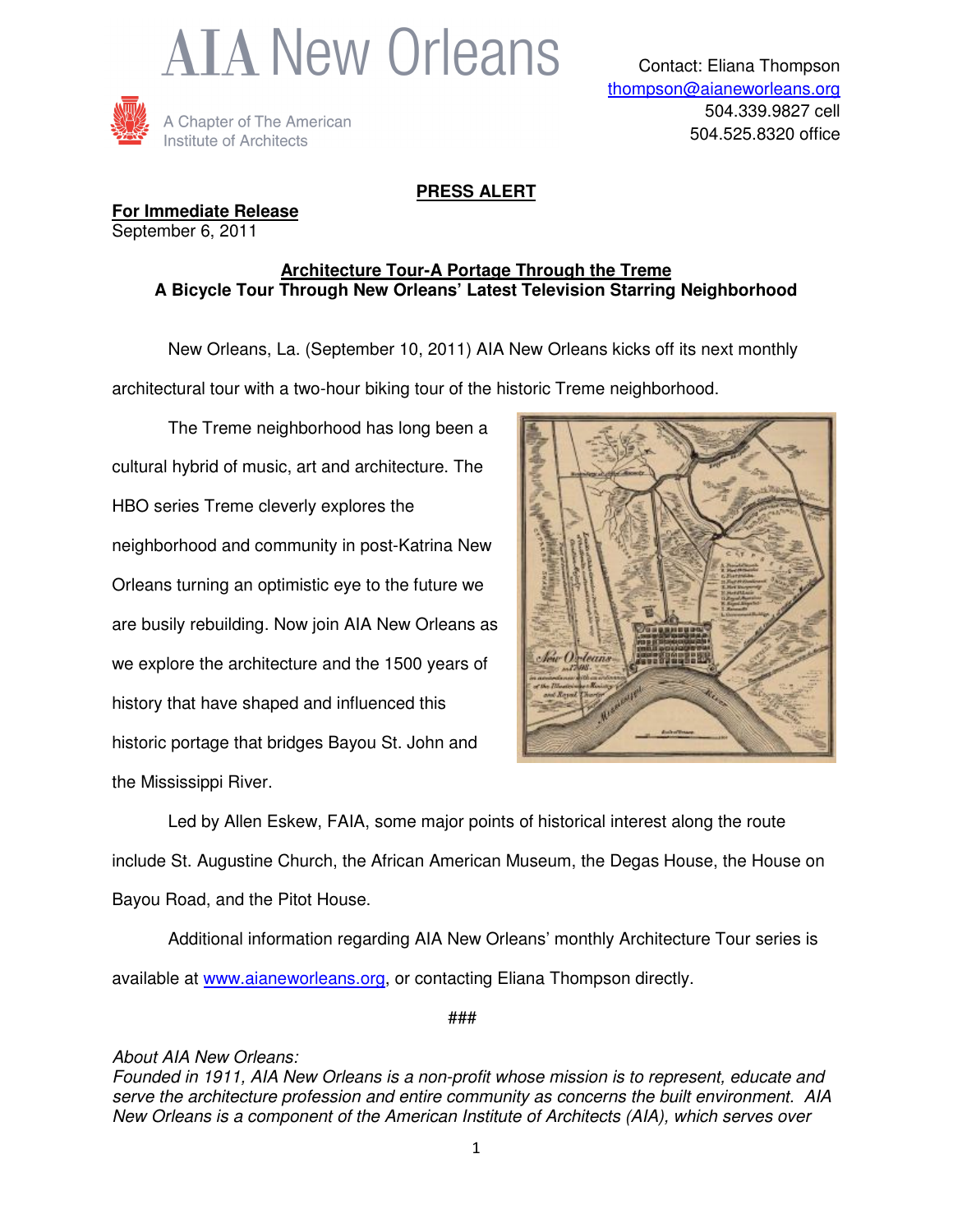



## **PRESS ALERT**

**For Immediate Release** September 6, 2011

## **Architecture Tour-A Portage Through the Treme A Bicycle Tour Through New Orleans' Latest Television Starring Neighborhood**

 New Orleans, La. (September 10, 2011) AIA New Orleans kicks off its next monthly architectural tour with a two-hour biking tour of the historic Treme neighborhood.

 The Treme neighborhood has long been a cultural hybrid of music, art and architecture. The HBO series Treme cleverly explores the neighborhood and community in post-Katrina New Orleans turning an optimistic eye to the future we are busily rebuilding. Now join AIA New Orleans as we explore the architecture and the 1500 years of history that have shaped and influenced this historic portage that bridges Bayou St. John and the Mississippi River.



 Led by Allen Eskew, FAIA, some major points of historical interest along the route include St. Augustine Church, the African American Museum, the Degas House, the House on Bayou Road, and the Pitot House.

 Additional information regarding AIA New Orleans' monthly Architecture Tour series is available at www.aianeworleans.org, or contacting Eliana Thompson directly.

###

About AIA New Orleans:

Founded in 1911, AIA New Orleans is a non-profit whose mission is to represent, educate and serve the architecture profession and entire community as concerns the built environment. AIA New Orleans is a component of the American Institute of Architects (AIA), which serves over